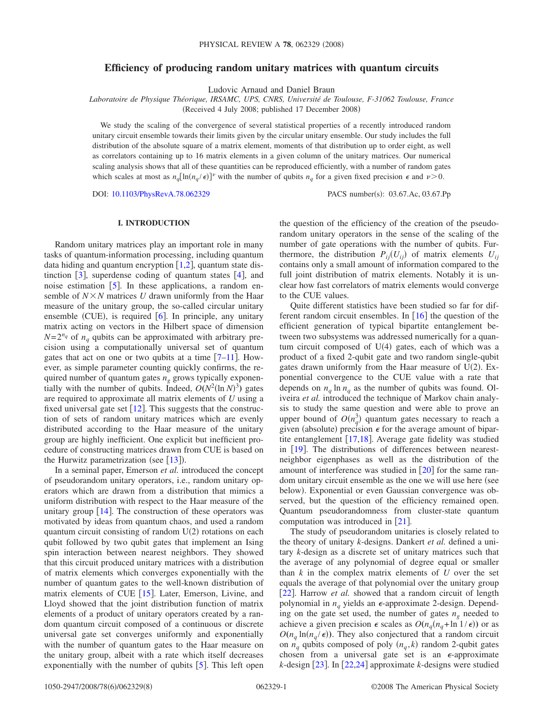# **Efficiency of producing random unitary matrices with quantum circuits**

Ludovic Arnaud and Daniel Braun

*Laboratoire de Physique Théorique, IRSAMC, UPS, CNRS, Université de Toulouse, F-31062 Toulouse, France*

(Received 4 July 2008; published 17 December 2008)

We study the scaling of the convergence of several statistical properties of a recently introduced random unitary circuit ensemble towards their limits given by the circular unitary ensemble. Our study includes the full distribution of the absolute square of a matrix element, moments of that distribution up to order eight, as well as correlators containing up to 16 matrix elements in a given column of the unitary matrices. Our numerical scaling analysis shows that all of these quantities can be reproduced efficiently, with a number of random gates which scales at most as  $n_q [\ln(n_q / \epsilon)]^{\nu}$  with the number of qubits  $n_q$  for a given fixed precision  $\epsilon$  and  $\nu > 0$ .

DOI: [10.1103/PhysRevA.78.062329](http://dx.doi.org/10.1103/PhysRevA.78.062329) PACS number(s): 03.67.Ac, 03.67.Pp

### **I. INTRODUCTION**

Random unitary matrices play an important role in many tasks of quantum-information processing, including quantum data hiding and quantum encryption  $[1,2]$  $[1,2]$  $[1,2]$  $[1,2]$ , quantum state distinction  $[3]$  $[3]$  $[3]$ , superdense coding of quantum states  $[4]$  $[4]$  $[4]$ , and noise estimation  $[5]$  $[5]$  $[5]$ . In these applications, a random ensemble of  $N \times N$  matrices *U* drawn uniformly from the Haar measure of the unitary group, the so-called circular unitary ensemble (CUE), is required  $[6]$  $[6]$  $[6]$ . In principle, any unitary matrix acting on vectors in the Hilbert space of dimension  $N=2^{n_q}$  of  $n_q$  qubits can be approximated with arbitrary precision using a computationally universal set of quantum gates that act on one or two qubits at a time  $[7-11]$  $[7-11]$  $[7-11]$ . However, as simple parameter counting quickly confirms, the required number of quantum gates  $n_g$  grows typically exponentially with the number of qubits. Indeed,  $O(N^2(\ln N)^3)$  gates are required to approximate all matrix elements of *U* using a fixed universal gate set  $[12]$  $[12]$  $[12]$ . This suggests that the construction of sets of random unitary matrices which are evenly distributed according to the Haar measure of the unitary group are highly inefficient. One explicit but inefficient procedure of constructing matrices drawn from CUE is based on the Hurwitz parametrization (see  $[13]$  $[13]$  $[13]$ ).

In a seminal paper, Emerson *et al.* introduced the concept of pseudorandom unitary operators, i.e., random unitary operators which are drawn from a distribution that mimics a uniform distribution with respect to the Haar measure of the unitary group  $\lceil 14 \rceil$  $\lceil 14 \rceil$  $\lceil 14 \rceil$ . The construction of these operators was motivated by ideas from quantum chaos, and used a random quantum circuit consisting of random  $U(2)$  rotations on each qubit followed by two qubit gates that implement an Ising spin interaction between nearest neighbors. They showed that this circuit produced unitary matrices with a distribution of matrix elements which converges exponentially with the number of quantum gates to the well-known distribution of matrix elements of CUE  $[15]$  $[15]$  $[15]$ . Later, Emerson, Livine, and Lloyd showed that the joint distribution function of matrix elements of a product of unitary operators created by a random quantum circuit composed of a continuous or discrete universal gate set converges uniformly and exponentially with the number of quantum gates to the Haar measure on the unitary group, albeit with a rate which itself decreases exponentially with the number of qubits  $[5]$  $[5]$  $[5]$ . This left open the question of the efficiency of the creation of the pseudorandom unitary operators in the sense of the scaling of the number of gate operations with the number of qubits. Furthermore, the distribution  $P_{ii}(U_{ii})$  of matrix elements  $U_{ii}$ contains only a small amount of information compared to the full joint distribution of matrix elements. Notably it is unclear how fast correlators of matrix elements would converge to the CUE values.

Quite different statistics have been studied so far for different random circuit ensembles. In  $\lceil 16 \rceil$  $\lceil 16 \rceil$  $\lceil 16 \rceil$  the question of the efficient generation of typical bipartite entanglement between two subsystems was addressed numerically for a quantum circuit composed of  $U(4)$  gates, each of which was a product of a fixed 2-qubit gate and two random single-qubit gates drawn uniformly from the Haar measure of  $U(2)$ . Exponential convergence to the CUE value with a rate that depends on  $n_q \ln n_q$  as the number of qubits was found. Oliveira *et al.* introduced the technique of Markov chain analysis to study the same question and were able to prove an upper bound of  $O(n_q^3)$  quantum gates necessary to reach a given (absolute) precision  $\epsilon$  for the average amount of bipartite entanglement  $[17,18]$  $[17,18]$  $[17,18]$  $[17,18]$ . Average gate fidelity was studied in  $[19]$  $[19]$  $[19]$ . The distributions of differences between nearestneighbor eigenphases as well as the distribution of the amount of interference was studied in  $[20]$  $[20]$  $[20]$  for the same random unitary circuit ensemble as the one we will use here (see below). Exponential or even Gaussian convergence was observed, but the question of the efficiency remained open. Quantum pseudorandomness from cluster-state quantum computation was introduced in  $[21]$  $[21]$  $[21]$ .

The study of pseudorandom unitaries is closely related to the theory of unitary *k*-designs. Dankert *et al.* defined a unitary *k*-design as a discrete set of unitary matrices such that the average of any polynomial of degree equal or smaller than  $k$  in the complex matrix elements of  $U$  over the set equals the average of that polynomial over the unitary group [[22](#page-7-18)]. Harrow *et al.* showed that a random circuit of length polynomial in  $n_q$  yields an  $\epsilon$ -approximate 2-design. Depending on the gate set used, the number of gates  $n<sub>g</sub>$  needed to achieve a given precision  $\epsilon$  scales as  $O(n_q(n_q + \ln 1/\epsilon))$  or as  $O(n_q \ln(n_q/\epsilon))$ . They also conjectured that a random circuit on  $n_q$  qubits composed of poly  $(n_q, k)$  random 2-qubit gates chosen from a universal gate set is an  $\epsilon$ -approximate  $k$ -design  $\lceil 23 \rceil$  $\lceil 23 \rceil$  $\lceil 23 \rceil$ . In  $\lceil 22,24 \rceil$  $\lceil 22,24 \rceil$  $\lceil 22,24 \rceil$  $\lceil 22,24 \rceil$  approximate *k*-designs were studied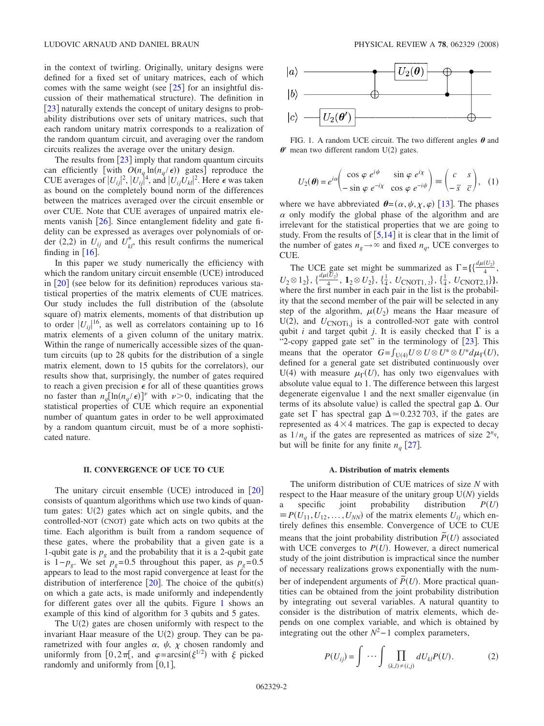in the context of twirling. Originally, unitary designs were defined for a fixed set of unitary matrices, each of which comes with the same weight (see  $\lceil 25 \rceil$  $\lceil 25 \rceil$  $\lceil 25 \rceil$  for an insightful discussion of their mathematical structure). The definition in [[23](#page-7-19)] naturally extends the concept of unitary designs to probability distributions over sets of unitary matrices, such that each random unitary matrix corresponds to a realization of the random quantum circuit, and averaging over the random circuits realizes the average over the unitary design.

The results from  $\lceil 23 \rceil$  $\lceil 23 \rceil$  $\lceil 23 \rceil$  imply that random quantum circuits can efficiently [with  $O(n_q \ln(n_q/\epsilon))$  gates] reproduce the CUE averages of  $|U_{ij}|^2$ ,  $|U_{ij}|^4$ , and  $|U_{ij}U_{kl}|^2$ . Here  $\epsilon$  was taken as bound on the completely bound norm of the differences between the matrices averaged over the circuit ensemble or over CUE. Note that CUE averages of unpaired matrix elements vanish  $[26]$  $[26]$  $[26]$ . Since entanglement fidelity and gate fidelity can be expressed as averages over polynomials of order (2,2) in  $U_{ij}$  and  $U_{kl}^*$ , this result confirms the numerical finding in  $[16]$  $[16]$  $[16]$ .

In this paper we study numerically the efficiency with which the random unitary circuit ensemble (UCE) introduced in  $\lceil 20 \rceil$  $\lceil 20 \rceil$  $\lceil 20 \rceil$  (see below for its definition) reproduces various statistical properties of the matrix elements of CUE matrices. Our study includes the full distribution of the (absolute square of) matrix elements, moments of that distribution up to order  $|U_{ij}|^{16}$ , as well as correlators containing up to 16 matrix elements of a given column of the unitary matrix. Within the range of numerically accessible sizes of the quantum circuits (up to 28 qubits for the distribution of a single matrix element, down to 15 qubits for the correlators), our results show that, surprisingly, the number of gates required to reach a given precision  $\epsilon$  for all of these quantities grows no faster than  $n_q [\ln(n_q/\epsilon)]^{\nu}$  with  $\nu > 0$ , indicating that the statistical properties of CUE which require an exponential number of quantum gates in order to be well approximated by a random quantum circuit, must be of a more sophisticated nature.

### **II. CONVERGENCE OF UCE TO CUE**

The unitary circuit ensemble (UCE) introduced in  $\lceil 20 \rceil$  $\lceil 20 \rceil$  $\lceil 20 \rceil$ consists of quantum algorithms which use two kinds of quantum gates:  $U(2)$  gates which act on single qubits, and the controlled-NOT (CNOT) gate which acts on two qubits at the time. Each algorithm is built from a random sequence of these gates, where the probability that a given gate is a 1-qubit gate is  $p_g$  and the probability that it is a 2-qubit gate is  $1-p_g$ . We set  $p_g$ =0.5 throughout this paper, as  $p_g$ =0.5 appears to lead to the most rapid convergence at least for the distribution of interference  $\lceil 20 \rceil$  $\lceil 20 \rceil$  $\lceil 20 \rceil$ . The choice of the qubit(s) on which a gate acts, is made uniformly and independently for different gates over all the qubits. Figure [1](#page-1-0) shows an example of this kind of algorithm for 3 qubits and 5 gates.

The  $U(2)$  gates are chosen uniformly with respect to the invariant Haar measure of the  $U(2)$  group. They can be parametrized with four angles  $\alpha$ ,  $\psi$ ,  $\chi$  chosen randomly and uniformly from  $[0, 2\pi[$ , and  $\varphi = \arcsin(\xi^{1/2})$  with  $\xi$  picked randomly and uniformly from  $[0,1]$ ,

<span id="page-1-0"></span>

FIG. 1. A random UCE circuit. The two different angles  $\theta$  and  $\theta$ ' mean two different random U(2) gates.

$$
U_2(\boldsymbol{\theta}) = e^{i\alpha} \begin{pmatrix} \cos\varphi \ e^{i\psi} & \sin\varphi \ e^{i\chi} \\ -\sin\varphi \ e^{-i\chi} & \cos\varphi \ e^{-i\psi} \end{pmatrix} \equiv \begin{pmatrix} c & s \\ -\overline{s} & \overline{c} \end{pmatrix}, \quad (1)
$$

where we have abbreviated  $\boldsymbol{\theta} = (\alpha, \psi, \chi, \varphi)$  [[13](#page-7-9)]. The phases  $\alpha$  only modify the global phase of the algorithm and are irrelevant for the statistical properties that we are going to study. From the results of  $\left[5,14\right]$  $\left[5,14\right]$  $\left[5,14\right]$  $\left[5,14\right]$  it is clear that in the limit of the number of gates  $n_g \rightarrow \infty$  and fixed  $n_q$ , UCE converges to CUE.

The UCE gate set might be summarized as  $\Gamma = \{ \frac{d\mu(U_2)}{4}, \ldots \}$  $U_2 \otimes 1_2$ ,  $\{\frac{d\mu(U_2)}{4}, \mathbf{1}_2 \otimes U_2\}$ ,  $\{\frac{1}{4}, U_{\text{CNOT1}, 2}\}$ ,  $\{\frac{1}{4}, U_{\text{CNOT2}, 1}\}$ , where the first number in each pair in the list is the probability that the second member of the pair will be selected in any step of the algorithm,  $\mu(U_2)$  means the Haar measure of  $U(2)$ , and  $U_{CNOT,i,j}$  is a controlled-NOT gate with control qubit *i* and target qubit *j*. It is easily checked that  $\Gamma$  is a "2-copy gapped gate set" in the terminology of  $[23]$  $[23]$  $[23]$ . This means that the operator  $G = \int_{U(4)} U \otimes U \otimes U^* \otimes U^* d\mu_{\Gamma}(U)$ , defined for a general gate set distributed continuously over U(4) with measure  $\mu_{\Gamma}(U)$ , has only two eigenvalues with absolute value equal to 1. The difference between this largest degenerate eigenvalue 1 and the next smaller eigenvalue (in terms of its absolute value) is called the spectral gap  $\Delta$ . Our gate set  $\Gamma$  has spectral gap  $\Delta \approx 0.232$  703, if the gates are represented as  $4 \times 4$  matrices. The gap is expected to decay as  $1/n_q$  if the gates are represented as matrices of size  $2^{n_q}$ , but will be finite for any finite  $n_q$  [[27](#page-7-23)].

### **A. Distribution of matrix elements**

The uniform distribution of CUE matrices of size *N* with respect to the Haar measure of the unitary group  $U(N)$  yields a specific joint probability distribution  $P(U)$  $\equiv P(U_{11}, U_{12}, \dots, U_{NN})$  of the matrix elements  $U_{ii}$  which entirely defines this ensemble. Convergence of UCE to CUE means that the joint probability distribution  $\tilde{P}(U)$  associated with UCE converges to  $P(U)$ . However, a direct numerical study of the joint distribution is impractical since the number of necessary realizations grows exponentially with the number of independent arguments of  $\tilde{P}(U)$ . More practical quantities can be obtained from the joint probability distribution by integrating out several variables. A natural quantity to consider is the distribution of matrix elements, which depends on one complex variable, and which is obtained by integrating out the other  $N^2-1$  complex parameters,

$$
P(U_{ij}) = \int \cdots \int \prod_{(k,l)\neq(i,j)} dU_{kl} P(U). \tag{2}
$$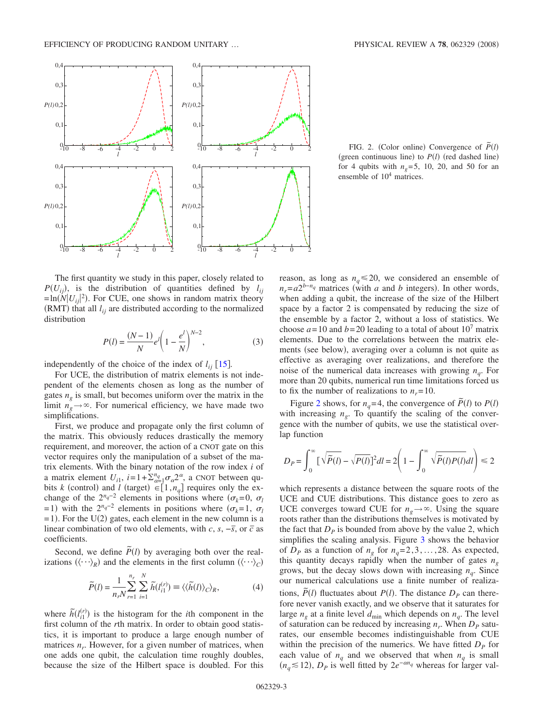<span id="page-2-0"></span>

The first quantity we study in this paper, closely related to  $P(U_{ii})$ , is the distribution of quantities defined by  $l_{ii}$  $=\ln(N|U_{ij}|^2)$ . For CUE, one shows in random matrix theory  $(RMT)$  that all  $l_{ij}$  are distributed according to the normalized distribution

$$
P(l) = \frac{(N-1)}{N} e^{l} \left( 1 - \frac{e^{l}}{N} \right)^{N-2},
$$
 (3)

independently of the choice of the index of  $l_{ii}$   $[15]$  $[15]$  $[15]$ .

For UCE, the distribution of matrix elements is not independent of the elements chosen as long as the number of gates  $n<sub>e</sub>$  is small, but becomes uniform over the matrix in the limit  $n_g \rightarrow \infty$ . For numerical efficiency, we have made two simplifications.

First, we produce and propagate only the first column of the matrix. This obviously reduces drastically the memory requirement, and moreover, the action of a CNOT gate on this vector requires only the manipulation of a subset of the matrix elements. With the binary notation of the row index *i* of a matrix element  $U_{i1}$ ,  $i=1+\sum_{\alpha=1}^{n_q}\sigma_\alpha 2^\alpha$ , a CNOT between qubits *k* (control) and *l* (target)  $\in [1, n_q]$  requires only the exchange of the  $2^{n_q-2}$  elements in positions where  $(\sigma_k=0, \sigma_l)$ = 1) with the  $2^{n_q-2}$  elements in positions where  $(\sigma_k=1, \sigma_l)$  $= 1$ ). For the U(2) gates, each element in the new column is a linear combination of two old elements, with *c*, *s*,  $-\overline{s}$ , or  $\overline{c}$  as coefficients.

Second, we define  $\tilde{P}(l)$  by averaging both over the realizations  $(\langle \cdots \rangle_R)$  and the elements in the first column  $(\langle \cdots \rangle_C)$ 

$$
\widetilde{P}(l) = \frac{1}{n_r N} \sum_{r=1}^{n_r} \sum_{i=1}^{N} \widetilde{h}(l_{i1}^{(r)}) \equiv \langle \langle \widetilde{h}(l) \rangle_C \rangle_R, \tag{4}
$$

<span id="page-2-1"></span>where  $\tilde{h}(l_{i1}^{(r)})$  is the histogram for the *i*th component in the first column of the *r*th matrix. In order to obtain good statistics, it is important to produce a large enough number of matrices  $n_r$ . However, for a given number of matrices, when one adds one qubit, the calculation time roughly doubles, because the size of the Hilbert space is doubled. For this

FIG. 2. (Color online) Convergence of  $\tilde{P}(l)$ (green continuous line) to  $P(l)$  (red dashed line) for 4 qubits with  $n<sub>g</sub> = 5$ , 10, 20, and 50 for an ensemble of  $10^4$  matrices.

reason, as long as  $n_q \le 20$ , we considered an ensemble of  $n_r = a2^{b-n_q}$  matrices (with *a* and *b* integers). In other words, when adding a qubit, the increase of the size of the Hilbert space by a factor 2 is compensated by reducing the size of the ensemble by a factor 2, without a loss of statistics. We choose  $a = 10$  and  $b = 20$  leading to a total of about  $10<sup>7</sup>$  matrix elements. Due to the correlations between the matrix elements (see below), averaging over a column is not quite as effective as averaging over realizations, and therefore the noise of the numerical data increases with growing  $n_a$ . For more than 20 qubits, numerical run time limitations forced us to fix the number of realizations to  $n_r = 10$ .

Figure [2](#page-2-0) shows, for  $n_q$ =4, the convergence of  $\tilde{P}(l)$  to  $P(l)$ with increasing  $n<sub>g</sub>$ . To quantify the scaling of the convergence with the number of qubits, we use the statistical overlap function

$$
D_P = \int_0^\infty \left[ \sqrt{\widetilde{P}(l)} - \sqrt{P(l)} \right]^2 dl = 2 \left( 1 - \int_0^\infty \sqrt{\widetilde{P}(l) P(l)} dl \right) \le 2
$$

which represents a distance between the square roots of the UCE and CUE distributions. This distance goes to zero as UCE converges toward CUE for  $n_g \rightarrow \infty$ . Using the square roots rather than the distributions themselves is motivated by the fact that  $D<sub>p</sub>$  is bounded from above by the value 2, which simplifies the scaling analysis. Figure [3](#page-3-0) shows the behavior of  $D_p$  as a function of  $n_g$  for  $n_g = 2, 3, ..., 28$ . As expected, this quantity decays rapidly when the number of gates  $n_g$ grows, but the decay slows down with increasing  $n<sub>q</sub>$ . Since our numerical calculations use a finite number of realizations,  $\tilde{P}(l)$  fluctuates about  $P(l)$ . The distance  $D_P$  can therefore never vanish exactly, and we observe that it saturates for large  $n_g$  at a finite level  $d_{\text{min}}$  which depends on  $n_g$ . The level of saturation can be reduced by increasing  $n_r$ . When  $D_p$  saturates, our ensemble becomes indistinguishable from CUE within the precision of the numerics. We have fitted  $D<sub>p</sub>$  for each value of  $n_q$  and we observed that when  $n_q$  is small  $(n_q \le 12)$ , *D<sub>P</sub>* is well fitted by 2*e*<sup>−*an<sub>q</sub>* whereas for larger val-</sup>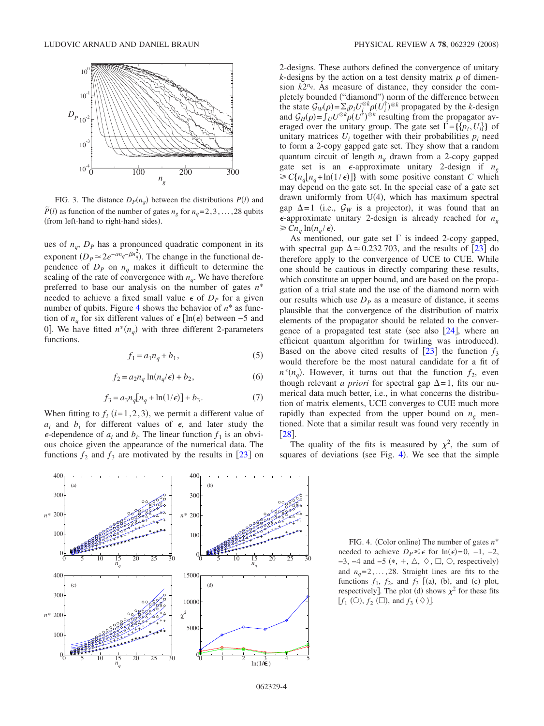<span id="page-3-0"></span>

FIG. 3. The distance  $D_P(n_g)$  between the distributions  $P(l)$  and  $\tilde{P}(l)$  as function of the number of gates  $n_g$  for  $n_g$ = 2, 3, ..., 28 qubits (from left-hand to right-hand sides).

ues of  $n_a$ ,  $D_p$  has a pronounced quadratic component in its exponent  $(D_P \simeq 2e^{-\alpha n_q - \beta n_q^2})$ . The change in the functional dependence of  $D_p$  on  $n_q$  makes it difficult to determine the scaling of the rate of convergence with  $n_q$ . We have therefore preferred to base our analysis on the number of gates *n*\* needed to achieve a fixed small value  $\epsilon$  of  $D_p$  for a given number of qubits. Figure [4](#page-3-1) shows the behavior of  $n^*$  as function of  $n_q$  for six different values of  $\epsilon$  [ln( $\epsilon$ ) between –5 and 0. We have fitted  $n^*(n_q)$  with three different 2-parameters functions.

$$
f_1 = a_1 n_q + b_1,\tag{5}
$$

$$
f_2 = a_2 n_q \ln(n_q/\epsilon) + b_2,\tag{6}
$$

$$
f_3 = a_3 n_q [n_q + \ln(1/\epsilon)] + b_3.
$$
 (7)

When fitting to  $f_i$  ( $i=1,2,3$ ), we permit a different value of  $a_i$  and  $b_i$  for different values of  $\epsilon$ , and later study the  $\epsilon$ -dependence of  $a_i$  and  $b_i$ . The linear function  $f_1$  is an obvious choice given the appearance of the numerical data. The functions  $f_2$  and  $f_3$  are motivated by the results in  $[23]$  $[23]$  $[23]$  on 2-designs. These authors defined the convergence of unitary *k*-designs by the action on a test density matrix  $\rho$  of dimension  $k2^{n_q}$ . As measure of distance, they consider the completely bounded ("diamond") norm of the difference between the state  $G_W(\rho) = \sum_i p_i U_i^{\otimes k} \rho(U_i^{\dagger})^{\otimes k}$  propagated by the *k*-design and  $\mathcal{G}_H(\rho) = \int_U U^{\otimes k} \rho(U^{\dagger})^{\otimes k}$  resulting from the propagator averaged over the unitary group. The gate set  $\Gamma = \{\{p_i, U_i\}\}\$ of unitary matrices  $U_i$  together with their probabilities  $p_i$  need to form a 2-copy gapped gate set. They show that a random quantum circuit of length  $n<sub>g</sub>$  drawn from a 2-copy gapped gate set is an  $\epsilon$ -approximate unitary 2-design if  $n_{g}$  $\geq C\{n_q[n_q+\ln(1/\epsilon)]\}$  with some positive constant *C* which may depend on the gate set. In the special case of a gate set drawn uniformly from  $U(4)$ , which has maximum spectral gap  $\Delta = 1$  (i.e.,  $\mathcal{G}_W$  is a projector), it was found that an  $\epsilon$ -approximate unitary 2-design is already reached for  $n_{\varphi}$  $\geq C n_a \ln(n_a/\epsilon).$ 

As mentioned, our gate set  $\Gamma$  is indeed 2-copy gapped, with spectral gap  $\Delta \approx 0.232$  $\Delta \approx 0.232$  $\Delta \approx 0.232$  703, and the results of [23] do therefore apply to the convergence of UCE to CUE. While one should be cautious in directly comparing these results, which constitute an upper bound, and are based on the propagation of a trial state and the use of the diamond norm with our results which use  $D_p$  as a measure of distance, it seems plausible that the convergence of the distribution of matrix elements of the propagator should be related to the convergence of a propagated test state (see also  $[24]$  $[24]$  $[24]$ , where an efficient quantum algorithm for twirling was introduced). Based on the above cited results of  $\lceil 23 \rceil$  $\lceil 23 \rceil$  $\lceil 23 \rceil$  the function  $f_3$ would therefore be the most natural candidate for a fit of  $n^*(n_a)$ . However, it turns out that the function  $f_2$ , even though relevant *a priori* for spectral gap  $\Delta = 1$ , fits our numerical data much better, i.e., in what concerns the distribution of matrix elements, UCE converges to CUE much more rapidly than expected from the upper bound on  $n<sub>g</sub>$  mentioned. Note that a similar result was found very recently in  $\left[28\right]$  $\left[28\right]$  $\left[28\right]$ .

The quality of the fits is measured by  $\chi^2$ , the sum of squares of deviations (see Fig. [4](#page-3-1)). We see that the simple

<span id="page-3-1"></span>

FIG. 4. (Color online) The number of gates  $n^*$ needed to achieve  $D_P \leq \epsilon$  for ln( $\epsilon$ )=0, -1, -2,  $-3$ ,  $-4$  and  $-5$   $(*, +, \triangle, \diamond, \square, \circ)$ , respectively) and  $n_a = 2, \ldots, 28$ . Straight lines are fits to the functions  $f_1$ ,  $f_2$ , and  $f_3$  [(a), (b), and (c) plot, respectively]. The plot (d) shows  $\chi^2$  for these fits  $[f_1 (\bigcirc), f_2 (\Box), \text{ and } f_3 (\Diamond)].$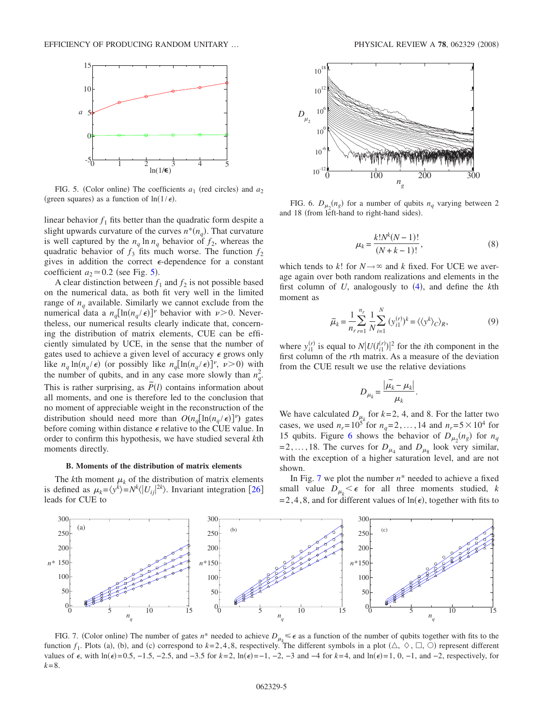<span id="page-4-0"></span>

FIG. 5. (Color online) The coefficients  $a_1$  (red circles) and  $a_2$ (green squares) as a function of  $\ln(1/\epsilon)$ .

linear behavior  $f_1$  fits better than the quadratic form despite a slight upwards curvature of the curves  $n^*(n_q)$ . That curvature is well captured by the  $n_q \ln n_q$  behavior of  $f_2$ , whereas the quadratic behavior of  $f_3$  fits much worse. The function  $f_2$ gives in addition the correct  $\epsilon$ -dependence for a constant coefficient  $a_2 \approx 0.2$  (see Fig. [5](#page-4-0)).

A clear distinction between  $f_1$  and  $f_2$  is not possible based on the numerical data, as both fit very well in the limited range of  $n_a$  available. Similarly we cannot exclude from the numerical data a  $n_q [\ln(n_q/\epsilon)]^{\nu}$  behavior with  $\nu > 0$ . Nevertheless, our numerical results clearly indicate that, concerning the distribution of matrix elements, CUE can be efficiently simulated by UCE, in the sense that the number of gates used to achieve a given level of accuracy  $\epsilon$  grows only like  $n_q \ln(n_q/\epsilon)$  (or possibly like  $n_q[\ln(n_q/\epsilon)]^{\nu}$ ,  $\nu > 0$ ) with the number of qubits, and in any case more slowly than  $n_q^2$ . This is rather surprising, as  $\tilde{P}(l)$  contains information about all moments, and one is therefore led to the conclusion that no moment of appreciable weight in the reconstruction of the distribution should need more than  $O(n_q[\ln(n_q/\epsilon)]^{\nu})$  gates before coming within distance  $\epsilon$  relative to the CUE value. In order to confirm this hypothesis, we have studied several *k*th moments directly.

### **B. Moments of the distribution of matrix elements**

The *k*th moment  $\mu_k$  of the distribution of matrix elements is defined as  $\mu_k = \langle y^k \rangle = N^k \langle |U_{ij}|^{2k} \rangle$ . Invariant integration [[26](#page-7-22)] leads for CUE to

<span id="page-4-1"></span>

FIG. 6.  $D_{\mu_2}(n_g)$  for a number of qubits  $n_q$  varying between 2 and 18 (from left-hand to right-hand sides).

$$
\mu_k = \frac{k!N^k(N-1)!}{(N+k-1)!},\tag{8}
$$

which tends to *k*! for  $N \rightarrow \infty$  and *k* fixed. For UCE we average again over both random realizations and elements in the first column of  $U$ , analogously to  $(4)$  $(4)$  $(4)$ , and define the  $k$ th moment as

$$
\widetilde{\mu}_k = \frac{1}{n_r} \sum_{r=1}^{n_r} \frac{1}{N} \sum_{i=1}^N (y_{i1}^{(r)})^k = \langle \langle y^k \rangle_C \rangle_R,\tag{9}
$$

<span id="page-4-3"></span>where  $y_{i1}^{(r)}$  is equal to  $N|U(l_{i1}^{(r)})|^2$  for the *i*th component in the first column of the *r*th matrix. As a measure of the deviation from the CUE result we use the relative deviations

$$
D_{\mu_k} = \frac{|\widetilde{\mu_k} - \mu_k|}{\mu_k}.
$$

We have calculated  $D_{\mu_k}$  for  $k=2, 4$ , and 8. For the latter two cases, we used  $n_r = 10^{5k}$  for  $n_q = 2, ..., 14$  and  $n_r = 5 \times 10^4$  for 15 qubits. Figure [6](#page-4-1) shows the behavior of  $D_{\mu_2}(n_g)$  for  $n_q$ = 2, ..., 18. The curves for  $D_{\mu_4}$  and  $D_{\mu_8}$  look very similar, with the exception of a higher saturation level, and are not shown.

In Fig. [7](#page-4-2) we plot the number *n*\* needed to achieve a fixed small value  $D_{\mu_k} < \epsilon$  for all three moments studied, *k* = 2, 4, 8, and for different values of  $\ln(\epsilon)$ , together with fits to

<span id="page-4-2"></span>

FIG. 7. (Color online) The number of gates  $n^*$  needed to achieve  $D_{\mu_k} \leq \epsilon$  as a function of the number of qubits together with fits to the function  $f_1$ . Plots (a), (b), and (c) correspond to  $k=2,4,8$ , respectively. The different symbols in a plot  $(\triangle, \diamondsuit, \square, \triangle)$  represent different values of  $\epsilon$ , with ln( $\epsilon$ )=0.5, -1.5, -2.5, and -3.5 for  $k=2$ , ln( $\epsilon$ )=−1, -2, -3 and -4 for  $k=4$ , and ln( $\epsilon$ )=1, 0, -1, and -2, respectively, for  $k = 8$ .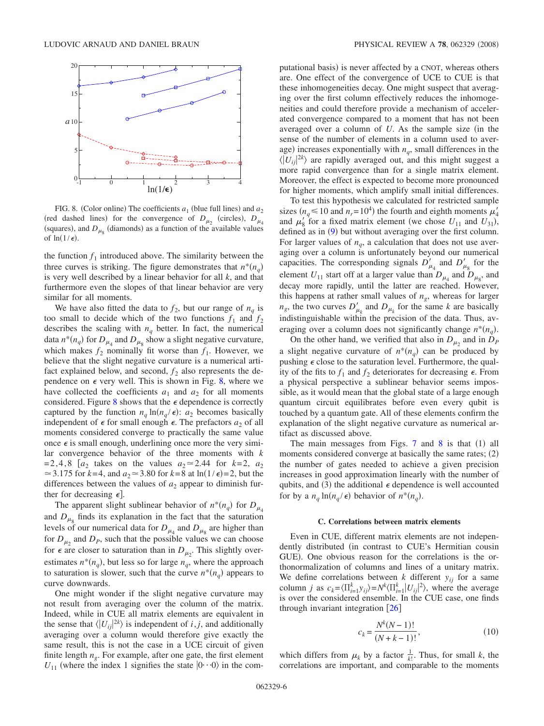<span id="page-5-0"></span>

FIG. 8. (Color online) The coefficients  $a_1$  (blue full lines) and  $a_2$ (red dashed lines) for the convergence of  $D_{\mu_2}$  (circles),  $D_{\mu_4}$ (squares), and  $D_{\mu_s}$  (diamonds) as a function of the available values of  $ln(1/\epsilon)$ .

the function  $f_1$  introduced above. The similarity between the three curves is striking. The figure demonstrates that  $n^*(n_q)$ is very well described by a linear behavior for all *k*, and that furthermore even the slopes of that linear behavior are very similar for all moments.

We have also fitted the data to  $f_2$ , but our range of  $n_q$  is too small to decide which of the two functions  $f_1$  and  $f_2$ describes the scaling with  $n_q$  better. In fact, the numerical data  $n^*(n_q)$  for  $D_{\mu_4}$  and  $D_{\mu_8}$  show a slight negative curvature, which makes  $f_2$  nominally fit worse than  $f_1$ . However, we believe that the slight negative curvature is a numerical artifact explained below, and second,  $f_2$  also represents the dependence on  $\epsilon$  very well. This is shown in Fig. [8,](#page-5-0) where we have collected the coefficients  $a_1$  and  $a_2$  for all moments considered. Figure [8](#page-5-0) shows that the  $\epsilon$  dependence is correctly captured by the function  $n_q \ln(n_q / \epsilon)$ :  $a_2$  becomes basically independent of  $\epsilon$  for small enough  $\epsilon$ . The prefactors  $a_2$  of all moments considered converge to practically the same value once  $\epsilon$  is small enough, underlining once more the very similar convergence behavior of the three moments with *k* =2,4,8  $[a_2]$  takes on the values  $a_2 \approx 2.44$  for  $k=2$ ,  $a_2$  $\approx$  3.175 for *k*=4, and  $a_2 \approx$  3.80 for *k*=8 at ln(1/ $\epsilon$ )=2, but the differences between the values of  $a_2$  appear to diminish further for decreasing  $\epsilon$ .

The apparent slight sublinear behavior of  $n^*(n_q)$  for  $D_{\mu_4}$ and  $D_{\mu_{8}}$  finds its explanation in the fact that the saturation levels of our numerical data for  $D_{\mu_4}$  and  $D_{\mu_8}$  are higher than for  $D_{\mu_2}$  and  $D_{P}$ , such that the possible values we can choose for  $\epsilon$  are closer to saturation than in  $D_{\mu_2}$ . This slightly overestimates  $n^*(n_q)$ , but less so for large  $n_q$ , where the approach to saturation is slower, such that the curve  $n^*(n_q)$  appears to curve downwards.

One might wonder if the slight negative curvature may not result from averaging over the column of the matrix. Indeed, while in CUE all matrix elements are equivalent in the sense that  $\langle |U_{ij}|^{2k} \rangle$  is independent of *i*, *j*, and additionally averaging over a column would therefore give exactly the same result, this is not the case in a UCE circuit of given finite length  $n<sub>o</sub>$ . For example, after one gate, the first element  $U_{11}$  (where the index 1 signifies the state  $|0 \cdot \cdot \cdot 0 \rangle$  in the computational basis) is never affected by a CNOT, whereas others are. One effect of the convergence of UCE to CUE is that these inhomogeneities decay. One might suspect that averaging over the first column effectively reduces the inhomogeneities and could therefore provide a mechanism of accelerated convergence compared to a moment that has not been averaged over a column of  $U$ . As the sample size (in the sense of the number of elements in a column used to average) increases exponentially with  $n_a$ , small differences in the  $\langle U_{ij} |^{2k} \rangle$  are rapidly averaged out, and this might suggest a more rapid convergence than for a single matrix element. Moreover, the effect is expected to become more pronounced for higher moments, which amplify small initial differences.

To test this hypothesis we calculated for restricted sample sizes ( $n_q \le 10$  and  $n_r = 10^4$ ) the fourth and eighth moments  $\mu'_4$ and  $\mu'_{8}$  for a fixed matrix element (we chose  $U_{11}$  and  $U_{31}$ ), defined as in  $(9)$  $(9)$  $(9)$  but without averaging over the first column. For larger values of  $n_q$ , a calculation that does not use averaging over a column is unfortunately beyond our numerical capacities. The corresponding signals  $D'_{\mu_4}$  and  $D'_{\mu_8}$  for the element  $U_{11}$  start off at a larger value than  $D_{\mu_4}$  and  $D_{\mu_8}$ , and decay more rapidly, until the latter are reached. However, this happens at rather small values of  $n_g$ , whereas for larger  $n_g$ , the two curves  $D'_{\mu_k}$  and  $D_{\mu_k}$  for the same *k* are basically indistinguishable within the precision of the data. Thus, averaging over a column does not significantly change  $n^*(n_q)$ .

On the other hand, we verified that also in  $D_{\mu_2}$  and in  $D_p$ a slight negative curvature of  $n^*(n_q)$  can be produced by pushing  $\epsilon$  close to the saturation level. Furthermore, the quality of the fits to  $f_1$  and  $f_2$  deteriorates for decreasing  $\epsilon$ . From a physical perspective a sublinear behavior seems impossible, as it would mean that the global state of a large enough quantum circuit equilibrates before even every qubit is touched by a quantum gate. All of these elements confirm the explanation of the slight negative curvature as numerical artifact as discussed above.

The main messages from Figs.  $7$  and  $8$  is that  $(1)$  all moments considered converge at basically the same rates;  $(2)$ the number of gates needed to achieve a given precision increases in good approximation linearly with the number of qubits, and (3) the additional  $\epsilon$  dependence is well accounted for by a  $n_q \ln(n_q/\epsilon)$  behavior of  $n^*(n_q)$ .

### **C. Correlations between matrix elements**

Even in CUE, different matrix elements are not independently distributed (in contrast to CUE's Hermitian cousin GUE). One obvious reason for the correlations is the orthonormalization of columns and lines of a unitary matrix. We define correlations between  $k$  different  $y_{ij}$  for a same column *j* as  $c_k = \langle \prod_{i=1}^k y_{ij} \rangle = N^k \langle \prod_{i=1}^k |U_{ij}|^2 \rangle$ , where the average is over the considered ensemble. In the CUE case, one finds through invariant integration  $[26]$  $[26]$  $[26]$ 

$$
c_k = \frac{N^k(N-1)!}{(N+k-1)!},
$$
\n(10)

which differs from  $\mu_k$  by a factor  $\frac{1}{k!}$ . Thus, for small *k*, the correlations are important, and comparable to the moments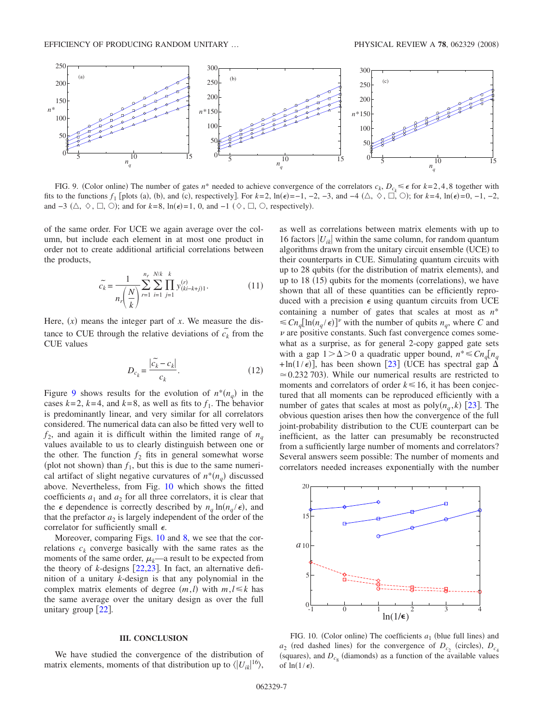<span id="page-6-0"></span>

FIG. 9. (Color online) The number of gates  $n^*$  needed to achieve convergence of the correlators  $c_k$ ,  $D_{c_k} \leq \epsilon$  for  $k=2,4,8$  together with fits to the functions  $f_1$  [plots (a), (b), and (c), respectively]. For  $k=2$ ,  $\ln(\epsilon)=-1$ ,  $-2$ ,  $-3$ , and  $-4$   $(\triangle, \Diamond, \Box, \Diamond)$ ; for  $k=4$ ,  $\ln(\epsilon)=0$ ,  $-1$ ,  $-2$ , and  $-3$  ( $\triangle$ ,  $\heartsuit$ ,  $\Box$ ,  $\bigcirc$ ); and for  $k=8$ , ln( $\epsilon$ )=1, 0, and  $-1$  ( $\Diamond$ ,  $\Box$ ,  $\bigcirc$ , respectively).

of the same order. For UCE we again average over the column, but include each element in at most one product in order not to create additional artificial correlations between the products,

$$
\tilde{c}_{k} = \frac{1}{n_{r} \left(\frac{N}{k}\right)} \sum_{r=1}^{n_{r}} \sum_{i=1}^{N/k} \prod_{j=1}^{k} y_{(ki-k+j)1}^{(r)}.
$$
\n(11)

Here,  $(x)$  means the integer part of  $x$ . We measure the distance to CUE through the relative deviations of  $\tilde{c_k}$  from the CUE values

$$
D_{c_k} = \frac{|\widetilde{c_k} - c_k|}{c_k}.
$$
\n(12)

Figure [9](#page-6-0) shows results for the evolution of  $n^*(n_q)$  in the cases  $k=2$ ,  $k=4$ , and  $k=8$ , as well as fits to  $f_1$ . The behavior is predominantly linear, and very similar for all correlators considered. The numerical data can also be fitted very well to  $f_2$ , and again it is difficult within the limited range of  $n_q$ values available to us to clearly distinguish between one or the other. The function  $f_2$  fits in general somewhat worse (plot not shown) than  $f_1$ , but this is due to the same numerical artifact of slight negative curvatures of  $n^*(n_q)$  discussed above. Nevertheless, from Fig. [10](#page-6-1) which shows the fitted coefficients  $a_1$  and  $a_2$  for all three correlators, it is clear that the  $\epsilon$  dependence is correctly described by  $n_q \ln(n_q/\epsilon)$ , and that the prefactor  $a_2$  is largely independent of the order of the correlator for sufficiently small  $\epsilon$ .

Moreover, comparing Figs. [10](#page-6-1) and [8,](#page-5-0) we see that the correlations  $c_k$  converge basically with the same rates as the moments of the same order,  $\mu_k$ —a result to be expected from the theory of *k*-designs  $\lceil 22,23 \rceil$  $\lceil 22,23 \rceil$  $\lceil 22,23 \rceil$  $\lceil 22,23 \rceil$ . In fact, an alternative definition of a unitary *k*-design is that any polynomial in the complex matrix elements of degree  $(m, l)$  with  $m, l \leq k$  has the same average over the unitary design as over the full unitary group  $[22]$  $[22]$  $[22]$ .

## **III. CONCLUSION**

We have studied the convergence of the distribution of matrix elements, moments of that distribution up to  $\langle |U_{ik}|^{16} \rangle$ ,

as well as correlations between matrix elements with up to 16 factors  $|U_{ik}|$  within the same column, for random quantum algorithms drawn from the unitary circuit ensemble (UCE) to their counterparts in CUE. Simulating quantum circuits with up to 28 qubits (for the distribution of matrix elements), and up to  $18$  (15) qubits for the moments (correlations), we have shown that all of these quantities can be efficiently reproduced with a precision  $\epsilon$  using quantum circuits from UCE containing a number of gates that scales at most as *n*\*  $\leq C n_q [\ln(n_q/\epsilon)]^{\nu}$  with the number of qubits  $n_q$ , where *C* and  $\nu$  are positive constants. Such fast convergence comes somewhat as a surprise, as for general 2-copy gapped gate sets with a gap  $1 > \Delta > 0$  a quadratic upper bound,  $n^* \leq C n_q [n_q]$  $+\ln(1/\epsilon)$ , has been shown [[23](#page-7-19)] (UCE has spectral gap  $\Delta$  $\approx$  0.232 703). While our numerical results are restricted to moments and correlators of order  $k \leq 16$ , it has been conjectured that all moments can be reproduced efficiently with a number of gates that scales at most as  $poly(n_a, k)$  [[23](#page-7-19)]. The obvious question arises then how the convergence of the full joint-probability distribution to the CUE counterpart can be inefficient, as the latter can presumably be reconstructed from a sufficiently large number of moments and correlators? Several answers seem possible: The number of moments and correlators needed increases exponentially with the number

<span id="page-6-1"></span>

FIG. 10. (Color online) The coefficients  $a_1$  (blue full lines) and  $a_2$  (red dashed lines) for the convergence of  $D_{c_2}$  (circles),  $D_{c_4}$ (squares), and  $D_{c<sub>0</sub>}$  (diamonds) as a function of the available values of  $ln(1/\epsilon)$ .